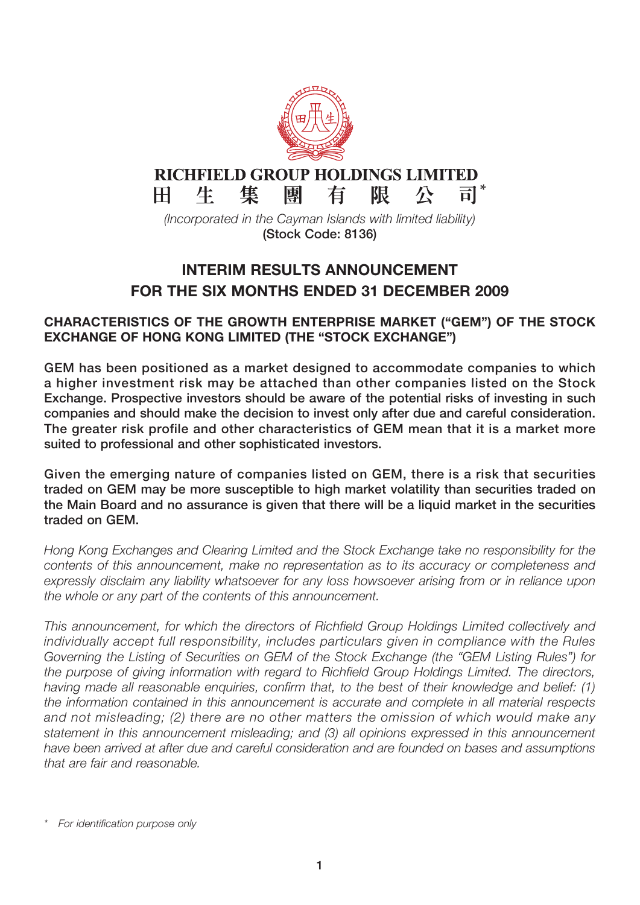

#### **RICHFIELD GROUP HOLDINGS LIMITED**  $H^-$ 生

 $\overline{\overline{\mathsf{H}}}$   $^*$ 隼 團 有 限 尽

(Incorporated in the Cayman Islands with limited liability) **(Stock Code: 8136)**

# **INTERIM RESULTS ANNOUNCEMENT FOR THE SIX MONTHS ENDED 31 DECEMBER 2009**

## **CHARACTERISTICS OF THE GROWTH ENTERPRISE MARKET ("GEM") OF THE STOCK EXCHANGE OF HONG KONG LIMITED (THE "STOCK EXCHANGE")**

**GEM has been positioned as a market designed to accommodate companies to which a higher investment risk may be attached than other companies listed on the Stock Exchange. Prospective investors should be aware of the potential risks of investing in such companies and should make the decision to invest only after due and careful consideration. The greater risk profile and other characteristics of GEM mean that it is a market more suited to professional and other sophisticated investors.**

**Given the emerging nature of companies listed on GEM, there is a risk that securities traded on GEM may be more susceptible to high market volatility than securities traded on the Main Board and no assurance is given that there will be a liquid market in the securities traded on GEM.**

Hong Kong Exchanges and Clearing Limited and the Stock Exchange take no responsibility for the contents of this announcement, make no representation as to its accuracy or completeness and expressly disclaim any liability whatsoever for any loss howsoever arising from or in reliance upon the whole or any part of the contents of this announcement.

This announcement, for which the directors of Richfield Group Holdings Limited collectively and individually accept full responsibility, includes particulars given in compliance with the Rules Governing the Listing of Securities on GEM of the Stock Exchange (the "GEM Listing Rules") for the purpose of giving information with regard to Richfield Group Holdings Limited. The directors, having made all reasonable enquiries, confirm that, to the best of their knowledge and belief: (1) the information contained in this announcement is accurate and complete in all material respects and not misleading; (2) there are no other matters the omission of which would make any statement in this announcement misleading; and (3) all opinions expressed in this announcement have been arrived at after due and careful consideration and are founded on bases and assumptions that are fair and reasonable.

For identification purpose only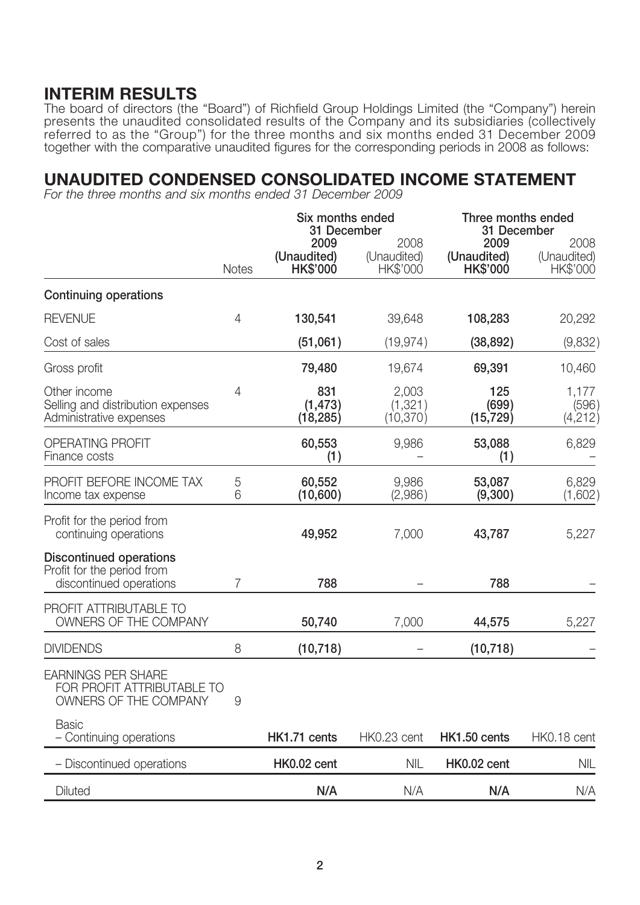## **INTERIM RESULTS**

The board of directors (the "Board") of Richfield Group Holdings Limited (the "Company") herein presents the unaudited consolidated results of the Company and its subsidiaries (collectively referred to as the "Group") for the three months and six months ended 31 December 2009 together with the comparative unaudited figures for the corresponding periods in 2008 as follows:

## **UNAUDITED CONDENSED CONSOLIDATED INCOME STATEMENT**

For the three months and six months ended 31 December 2009

|                                                                                         |                | Six months ended<br>31 December        |                                 |                                        | Three months ended<br>31 December |  |
|-----------------------------------------------------------------------------------------|----------------|----------------------------------------|---------------------------------|----------------------------------------|-----------------------------------|--|
|                                                                                         | <b>Notes</b>   | 2009<br>(Unaudited)<br><b>HK\$'000</b> | 2008<br>(Unaudited)<br>HK\$'000 | 2009<br>(Unaudited)<br><b>HK\$'000</b> | 2008<br>(Unaudited)<br>HK\$'000   |  |
| <b>Continuing operations</b>                                                            |                |                                        |                                 |                                        |                                   |  |
| <b>REVENUE</b>                                                                          | $\overline{4}$ | 130,541                                | 39,648                          | 108,283                                | 20,292                            |  |
| Cost of sales                                                                           |                | (51,061)                               | (19, 974)                       | (38, 892)                              | (9,832)                           |  |
| Gross profit                                                                            |                | 79,480                                 | 19,674                          | 69,391                                 | 10,460                            |  |
| Other income<br>Selling and distribution expenses<br>Administrative expenses            | 4              | 831<br>(1, 473)<br>(18, 285)           | 2,003<br>(1, 321)<br>(10, 370)  | 125<br>(699)<br>(15, 729)              | 1,177<br>(596)<br>(4,212)         |  |
| <b>OPERATING PROFIT</b><br>Finance costs                                                |                | 60,553<br>(1)                          | 9,986                           | 53,088<br>(1)                          | 6,829                             |  |
| PROFIT BEFORE INCOME TAX<br>Income tax expense                                          | 5<br>6         | 60,552<br>(10,600)                     | 9,986<br>(2,986)                | 53,087<br>(9,300)                      | 6,829<br>(1,602)                  |  |
| Profit for the period from<br>continuing operations                                     |                | 49,952                                 | 7,000                           | 43,787                                 | 5,227                             |  |
| <b>Discontinued operations</b><br>Profit for the period from<br>discontinued operations | 7              | 788                                    |                                 | 788                                    |                                   |  |
| PROFIT ATTRIBUTABLE TO<br>OWNERS OF THE COMPANY                                         |                | 50,740                                 | 7,000                           | 44,575                                 | 5,227                             |  |
| <b>DIVIDENDS</b>                                                                        | 8              | (10, 718)                              |                                 | (10, 718)                              |                                   |  |
| <b>EARNINGS PER SHARE</b><br>FOR PROFIT ATTRIBUTABLE TO<br>OWNERS OF THE COMPANY        | 9              |                                        |                                 |                                        |                                   |  |
| <b>Basic</b><br>- Continuing operations                                                 |                | HK1.71 cents                           | HK0.23 cent                     | HK1.50 cents                           | HK0.18 cent                       |  |
| - Discontinued operations                                                               |                | HK0.02 cent                            | <b>NIL</b>                      | HK0.02 cent                            | <b>NIL</b>                        |  |
| Diluted                                                                                 |                | N/A                                    | N/A                             | N/A                                    | N/A                               |  |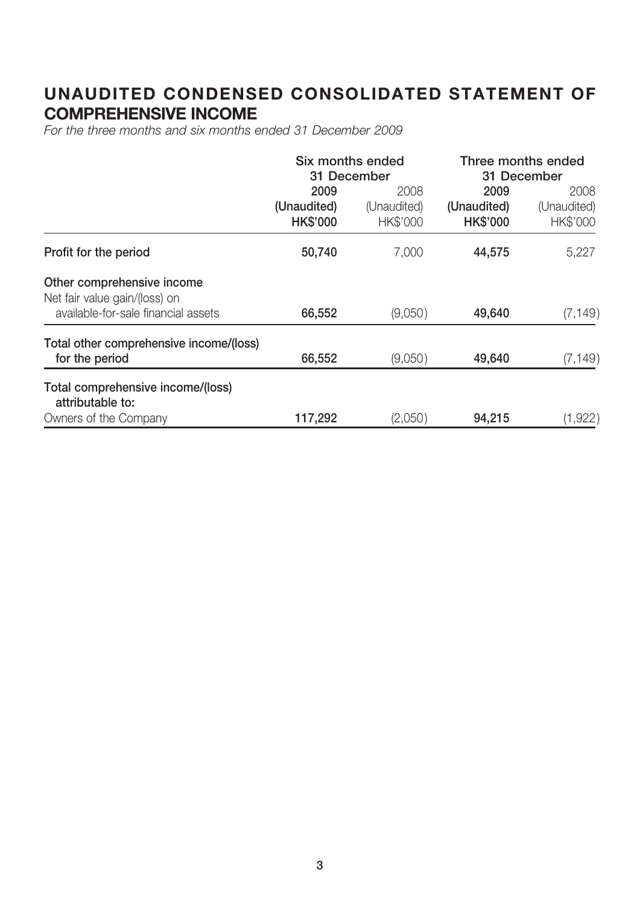# **UNAUDITED CONDENSED CONSOLIDATED STATEMENT OF COMPREHENSIVE INCOME**

For the three months and six months ended 31 December 2009

|                                                                                                    | Six months ended<br>31 December        |                                 | Three months ended<br>31 December      |                                        |
|----------------------------------------------------------------------------------------------------|----------------------------------------|---------------------------------|----------------------------------------|----------------------------------------|
|                                                                                                    | 2009<br>(Unaudited)<br><b>HK\$'000</b> | 2008<br>(Unaudited)<br>HK\$'000 | 2009<br>(Unaudited)<br><b>HK\$'000</b> | 2008<br>(Unaudited)<br><b>HK\$'000</b> |
| Profit for the period                                                                              | 50,740                                 | 7,000                           | 44,575                                 | 5,227                                  |
| Other comprehensive income<br>Net fair value gain/(loss) on<br>available-for-sale financial assets | 66,552                                 | (9,050)                         | 49,640                                 | (7, 149)                               |
| Total other comprehensive income/(loss)<br>for the period                                          | 66,552                                 | (9,050)                         | 49,640                                 | (7, 149)                               |
| Total comprehensive income/(loss)<br>attributable to:<br>Owners of the Company                     | 117,292                                | (2,050)                         | 94,215                                 | (1,922)                                |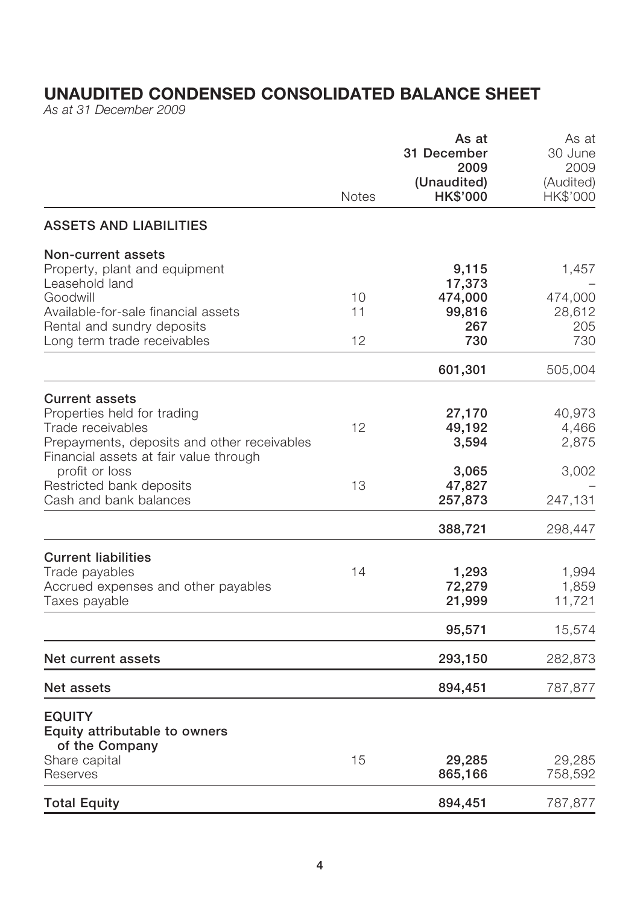# **UNAUDITED CONDENSED CONSOLIDATED BALANCE SHEET**

As at 31 December 2009

|                                                                                                                          |              | As at<br>31 December<br>2009   | As at<br>30 June<br>2009 |
|--------------------------------------------------------------------------------------------------------------------------|--------------|--------------------------------|--------------------------|
|                                                                                                                          | <b>Notes</b> | (Unaudited)<br><b>HK\$'000</b> | (Audited)<br>HK\$'000    |
| <b>ASSETS AND LIABILITIES</b>                                                                                            |              |                                |                          |
| <b>Non-current assets</b><br>Property, plant and equipment<br>Leasehold land                                             |              | 9,115<br>17,373                | 1,457                    |
| Goodwill<br>Available-for-sale financial assets<br>Rental and sundry deposits                                            | 10<br>11     | 474,000<br>99,816<br>267       | 474,000<br>28,612<br>205 |
| Long term trade receivables                                                                                              | 12           | 730                            | 730                      |
|                                                                                                                          |              | 601,301                        | 505,004                  |
| <b>Current assets</b><br>Properties held for trading<br>Trade receivables<br>Prepayments, deposits and other receivables | 12           | 27,170<br>49,192<br>3,594      | 40,973<br>4,466<br>2,875 |
| Financial assets at fair value through<br>profit or loss<br>Restricted bank deposits<br>Cash and bank balances           | 13           | 3,065<br>47,827<br>257,873     | 3,002<br>247,131         |
|                                                                                                                          |              | 388,721                        | 298,447                  |
| <b>Current liabilities</b><br>Trade payables<br>Accrued expenses and other payables<br>Taxes payable                     | 14           | 1,293<br>72,279<br>21,999      | 1,994<br>1,859<br>11,721 |
|                                                                                                                          |              | 95,571                         | 15,574                   |
| Net current assets                                                                                                       |              | 293,150                        | 282,873                  |
| <b>Net assets</b>                                                                                                        |              | 894,451                        | 787,877                  |
| <b>EQUITY</b><br>Equity attributable to owners<br>of the Company                                                         |              |                                |                          |
| Share capital<br>Reserves                                                                                                | 15           | 29,285<br>865,166              | 29,285<br>758,592        |
| <b>Total Equity</b>                                                                                                      |              | 894,451                        | 787,877                  |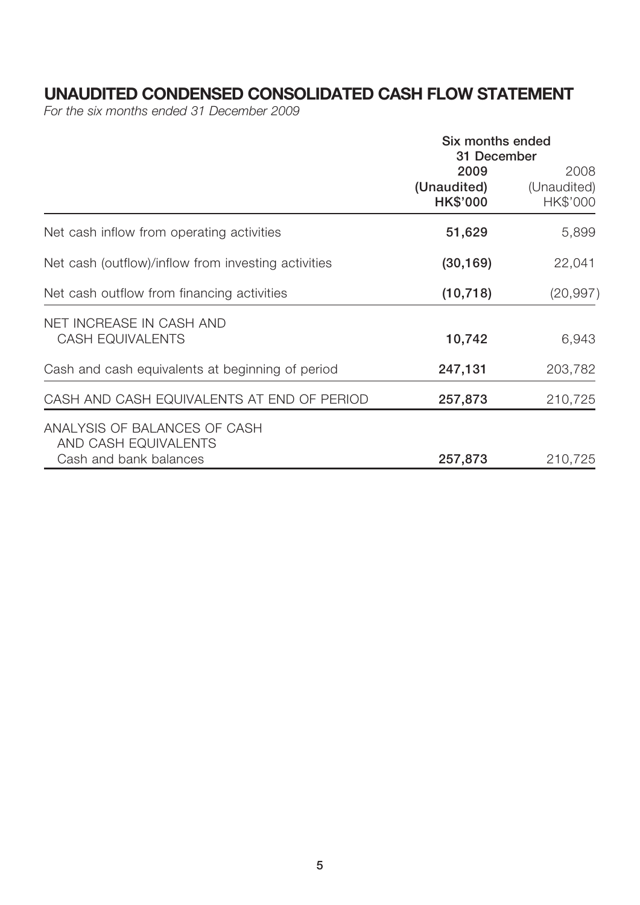# **UNAUDITED CONDENSED CONSOLIDATED CASH FLOW STATEMENT**

For the six months ended 31 December 2009

|                                                                                | Six months ended<br>31 December        |                                 |  |
|--------------------------------------------------------------------------------|----------------------------------------|---------------------------------|--|
|                                                                                | 2009<br>(Unaudited)<br><b>HK\$'000</b> | 2008<br>(Unaudited)<br>HK\$'000 |  |
| Net cash inflow from operating activities                                      | 51,629                                 | 5,899                           |  |
| Net cash (outflow)/inflow from investing activities                            | (30, 169)                              | 22,041                          |  |
| Net cash outflow from financing activities                                     | (10, 718)                              | (20, 997)                       |  |
| NET INCREASE IN CASH AND<br><b>CASH EQUIVALENTS</b>                            | 10,742                                 | 6,943                           |  |
| Cash and cash equivalents at beginning of period                               | 247,131                                | 203,782                         |  |
| CASH AND CASH EQUIVALENTS AT END OF PERIOD                                     | 257,873                                | 210,725                         |  |
| ANALYSIS OF BALANCES OF CASH<br>AND CASH EQUIVALENTS<br>Cash and bank balances | 257,873                                | 210,725                         |  |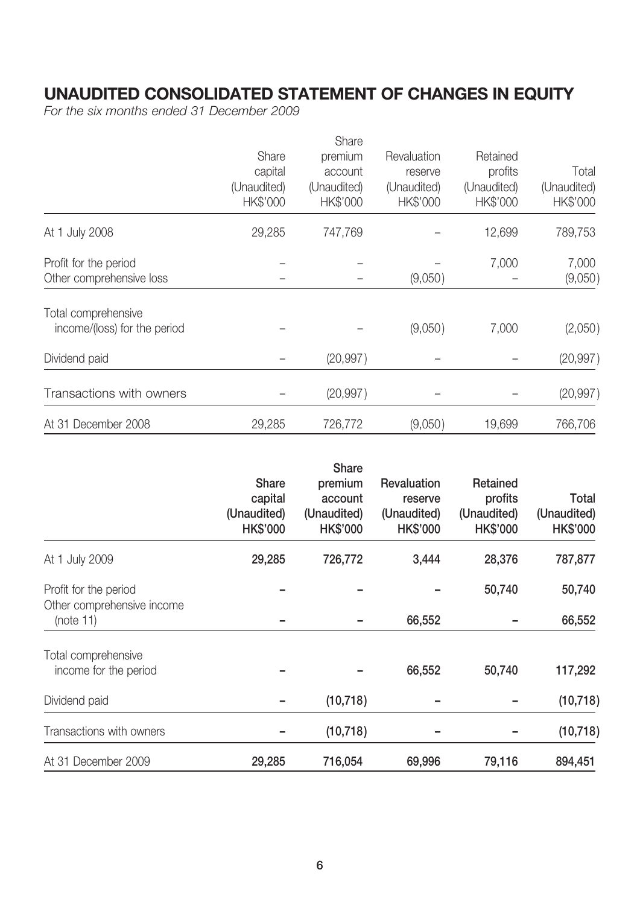# **UNAUDITED CONSOLIDATED STATEMENT OF CHANGES IN EQUITY**

For the six months ended 31 December 2009

|                              |             | Share       |             |             |             |
|------------------------------|-------------|-------------|-------------|-------------|-------------|
|                              | Share       | premium     | Revaluation | Retained    |             |
|                              | capital     | account     | reserve     | profits     | Total       |
|                              | (Unaudited) | (Unaudited) | (Unaudited) | (Unaudited) | (Unaudited) |
|                              | HK\$'000    | HK\$'000    | HK\$'000    | HK\$'000    | HK\$'000    |
| At 1 July 2008               | 29,285      | 747,769     |             | 12,699      | 789,753     |
| Profit for the period        |             |             |             | 7,000       | 7,000       |
| Other comprehensive loss     |             |             | (9,050)     |             | (9,050)     |
| Total comprehensive          |             |             |             |             |             |
| income/(loss) for the period |             |             | (9,050)     | 7,000       | (2,050)     |
| Dividend paid                |             | (20, 997)   |             |             | (20, 997)   |
| Transactions with owners     |             | (20, 997)   |             |             | (20, 997)   |
| At 31 December 2008          | 29,285      | 726,772     | (9,050)     | 19,699      | 766,706     |

|                                                     | Share<br>capital<br>(Unaudited)<br><b>HK\$'000</b> | <b>Share</b><br>premium<br>account<br>(Unaudited)<br><b>HK\$'000</b> | Revaluation<br>reserve<br>(Unaudited)<br><b>HK\$'000</b> | Retained<br>profits<br>(Unaudited)<br><b>HK\$'000</b> | Total<br>(Unaudited)<br><b>HK\$'000</b> |
|-----------------------------------------------------|----------------------------------------------------|----------------------------------------------------------------------|----------------------------------------------------------|-------------------------------------------------------|-----------------------------------------|
| At 1 July 2009                                      | 29,285                                             | 726,772                                                              | 3,444                                                    | 28,376                                                | 787,877                                 |
| Profit for the period<br>Other comprehensive income |                                                    |                                                                      |                                                          | 50,740                                                | 50,740                                  |
| (note 11)                                           |                                                    |                                                                      | 66,552                                                   |                                                       | 66,552                                  |
| Total comprehensive<br>income for the period        |                                                    |                                                                      | 66,552                                                   | 50,740                                                | 117,292                                 |
| Dividend paid                                       |                                                    | (10, 718)                                                            |                                                          |                                                       | (10, 718)                               |
| Transactions with owners                            |                                                    | (10, 718)                                                            |                                                          |                                                       | (10, 718)                               |
| At 31 December 2009                                 | 29,285                                             | 716,054                                                              | 69,996                                                   | 79,116                                                | 894,451                                 |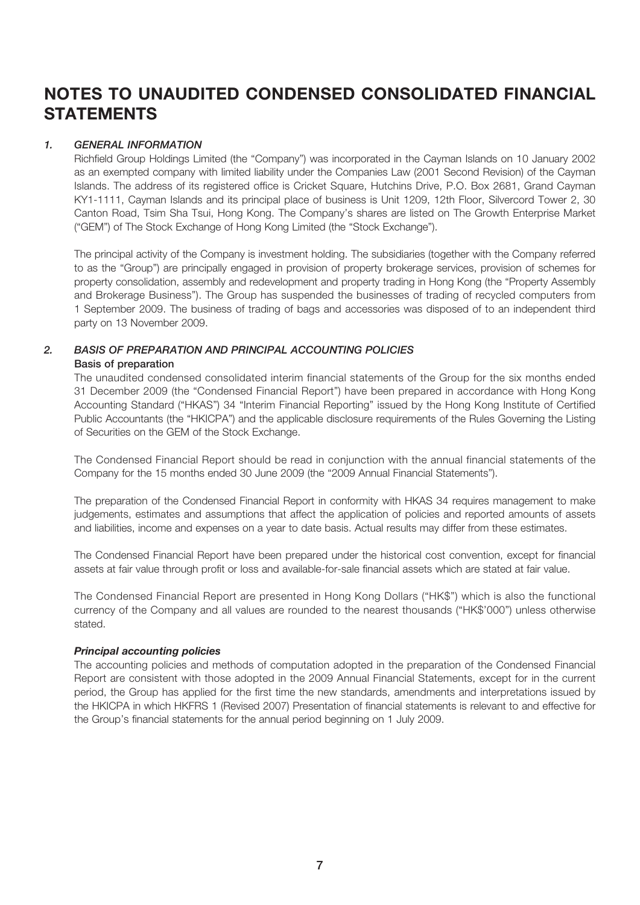# **NOTES TO UNAUDITED CONDENSED CONSOLIDATED FINANCIAL STATEMENTS**

### *1. GENERAL INFORMATION*

Richfield Group Holdings Limited (the "Company") was incorporated in the Cayman Islands on 10 January 2002 as an exempted company with limited liability under the Companies Law (2001 Second Revision) of the Cayman Islands. The address of its registered office is Cricket Square, Hutchins Drive, P.O. Box 2681, Grand Cayman KY1-1111, Cayman Islands and its principal place of business is Unit 1209, 12th Floor, Silvercord Tower 2, 30 Canton Road, Tsim Sha Tsui, Hong Kong. The Company's shares are listed on The Growth Enterprise Market ("GEM") of The Stock Exchange of Hong Kong Limited (the "Stock Exchange").

The principal activity of the Company is investment holding. The subsidiaries (together with the Company referred to as the "Group") are principally engaged in provision of property brokerage services, provision of schemes for property consolidation, assembly and redevelopment and property trading in Hong Kong (the "Property Assembly and Brokerage Business"). The Group has suspended the businesses of trading of recycled computers from 1 September 2009. The business of trading of bags and accessories was disposed of to an independent third party on 13 November 2009.

### *2. BASIS OF PREPARATION AND PRINCIPAL ACCOUNTING POLICIES* **Basis of preparation**

The unaudited condensed consolidated interim financial statements of the Group for the six months ended 31 December 2009 (the "Condensed Financial Report") have been prepared in accordance with Hong Kong Accounting Standard ("HKAS") 34 "Interim Financial Reporting" issued by the Hong Kong Institute of Certified Public Accountants (the "HKICPA") and the applicable disclosure requirements of the Rules Governing the Listing of Securities on the GEM of the Stock Exchange.

The Condensed Financial Report should be read in conjunction with the annual financial statements of the Company for the 15 months ended 30 June 2009 (the "2009 Annual Financial Statements").

The preparation of the Condensed Financial Report in conformity with HKAS 34 requires management to make judgements, estimates and assumptions that affect the application of policies and reported amounts of assets and liabilities, income and expenses on a year to date basis. Actual results may differ from these estimates.

The Condensed Financial Report have been prepared under the historical cost convention, except for financial assets at fair value through profit or loss and available-for-sale financial assets which are stated at fair value.

The Condensed Financial Report are presented in Hong Kong Dollars ("HK\$") which is also the functional currency of the Company and all values are rounded to the nearest thousands ("HK\$'000") unless otherwise stated.

### *Principal accounting policies*

The accounting policies and methods of computation adopted in the preparation of the Condensed Financial Report are consistent with those adopted in the 2009 Annual Financial Statements, except for in the current period, the Group has applied for the first time the new standards, amendments and interpretations issued by the HKICPA in which HKFRS 1 (Revised 2007) Presentation of financial statements is relevant to and effective for the Group's financial statements for the annual period beginning on 1 July 2009.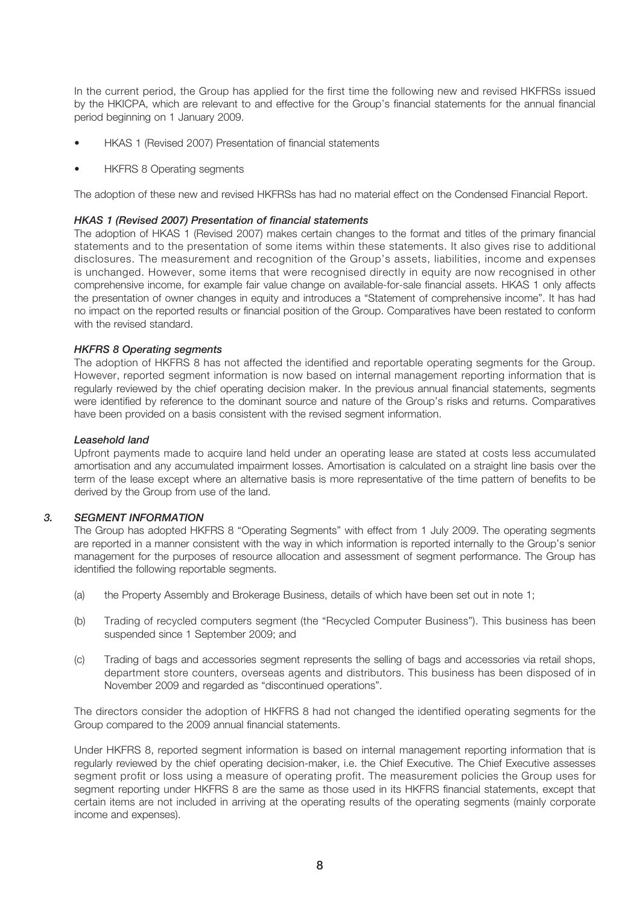In the current period, the Group has applied for the first time the following new and revised HKFRSs issued by the HKICPA, which are relevant to and effective for the Group's financial statements for the annual financial period beginning on 1 January 2009.

- HKAS 1 (Revised 2007) Presentation of financial statements
- HKFRS 8 Operating segments

The adoption of these new and revised HKFRSs has had no material effect on the Condensed Financial Report.

#### *HKAS 1 (Revised 2007) Presentation of financial statements*

The adoption of HKAS 1 (Revised 2007) makes certain changes to the format and titles of the primary financial statements and to the presentation of some items within these statements. It also gives rise to additional disclosures. The measurement and recognition of the Group's assets, liabilities, income and expenses is unchanged. However, some items that were recognised directly in equity are now recognised in other comprehensive income, for example fair value change on available-for-sale financial assets. HKAS 1 only affects the presentation of owner changes in equity and introduces a "Statement of comprehensive income". It has had no impact on the reported results or financial position of the Group. Comparatives have been restated to conform with the revised standard.

#### *HKFRS 8 Operating segments*

The adoption of HKFRS 8 has not affected the identified and reportable operating segments for the Group. However, reported segment information is now based on internal management reporting information that is regularly reviewed by the chief operating decision maker. In the previous annual financial statements, segments were identified by reference to the dominant source and nature of the Group's risks and returns. Comparatives have been provided on a basis consistent with the revised segment information.

#### *Leasehold land*

Upfront payments made to acquire land held under an operating lease are stated at costs less accumulated amortisation and any accumulated impairment losses. Amortisation is calculated on a straight line basis over the term of the lease except where an alternative basis is more representative of the time pattern of benefits to be derived by the Group from use of the land.

#### *3. SEGMENT INFORMATION*

The Group has adopted HKFRS 8 "Operating Segments" with effect from 1 July 2009. The operating segments are reported in a manner consistent with the way in which information is reported internally to the Group's senior management for the purposes of resource allocation and assessment of segment performance. The Group has identified the following reportable segments.

- (a) the Property Assembly and Brokerage Business, details of which have been set out in note 1;
- (b) Trading of recycled computers segment (the "Recycled Computer Business"). This business has been suspended since 1 September 2009; and
- (c) Trading of bags and accessories segment represents the selling of bags and accessories via retail shops, department store counters, overseas agents and distributors. This business has been disposed of in November 2009 and regarded as "discontinued operations".

The directors consider the adoption of HKFRS 8 had not changed the identified operating segments for the Group compared to the 2009 annual financial statements.

Under HKFRS 8, reported segment information is based on internal management reporting information that is regularly reviewed by the chief operating decision-maker, i.e. the Chief Executive. The Chief Executive assesses segment profit or loss using a measure of operating profit. The measurement policies the Group uses for segment reporting under HKFRS 8 are the same as those used in its HKFRS financial statements, except that certain items are not included in arriving at the operating results of the operating segments (mainly corporate income and expenses).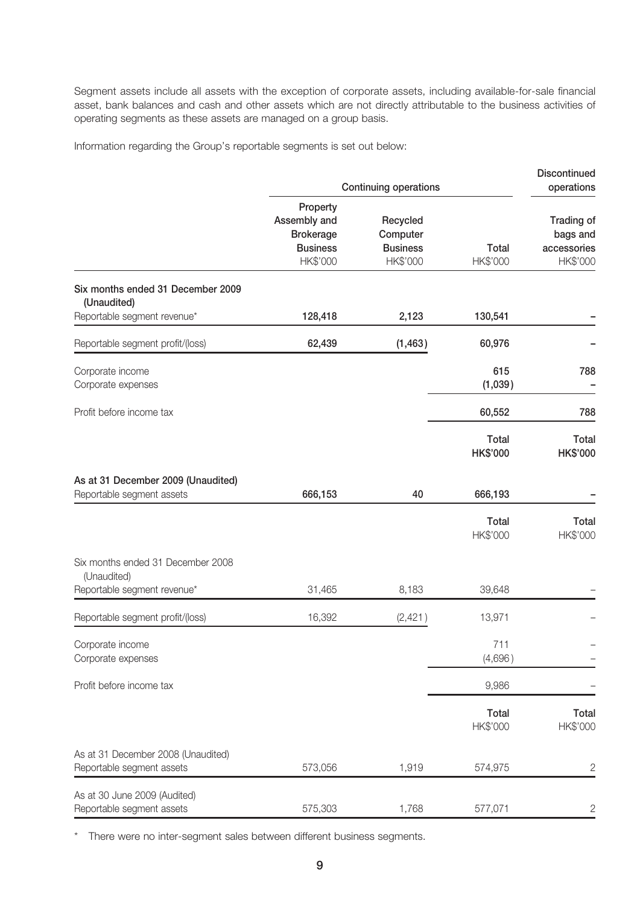Segment assets include all assets with the exception of corporate assets, including available-for-sale financial asset, bank balances and cash and other assets which are not directly attributable to the business activities of operating segments as these assets are managed on a group basis.

Information regarding the Group's reportable segments is set out below:

|                                                                 |                                                                             |                                                                                     | Discontinued<br>operations      |                                                   |
|-----------------------------------------------------------------|-----------------------------------------------------------------------------|-------------------------------------------------------------------------------------|---------------------------------|---------------------------------------------------|
|                                                                 | Property<br>Assembly and<br><b>Brokerage</b><br><b>Business</b><br>HK\$'000 | <b>Continuing operations</b><br>Recycled<br>Computer<br><b>Business</b><br>HK\$'000 | <b>Total</b><br>HK\$'000        | Trading of<br>bags and<br>accessories<br>HK\$'000 |
| Six months ended 31 December 2009<br>(Unaudited)                |                                                                             |                                                                                     |                                 |                                                   |
| Reportable segment revenue*                                     | 128,418                                                                     | 2,123                                                                               | 130,541                         |                                                   |
| Reportable segment profit/(loss)                                | 62,439                                                                      | (1, 463)                                                                            | 60,976                          |                                                   |
| Corporate income<br>Corporate expenses                          |                                                                             |                                                                                     | 615<br>(1,039)                  | 788                                               |
| Profit before income tax                                        |                                                                             |                                                                                     | 60,552                          | 788                                               |
|                                                                 |                                                                             |                                                                                     | <b>Total</b><br><b>HK\$'000</b> | <b>Total</b><br><b>HK\$'000</b>                   |
| As at 31 December 2009 (Unaudited)<br>Reportable segment assets | 666,153                                                                     | 40                                                                                  | 666,193                         |                                                   |
|                                                                 |                                                                             |                                                                                     | <b>Total</b><br>HK\$'000        | <b>Total</b><br>HK\$'000                          |
| Six months ended 31 December 2008<br>(Unaudited)                |                                                                             |                                                                                     |                                 |                                                   |
| Reportable segment revenue*                                     | 31,465                                                                      | 8,183                                                                               | 39,648                          |                                                   |
| Reportable segment profit/(loss)                                | 16,392                                                                      | (2, 421)                                                                            | 13,971                          |                                                   |
| Corporate income<br>Corporate expenses                          |                                                                             |                                                                                     | 711<br>(4,696)                  |                                                   |
| Profit before income tax                                        |                                                                             |                                                                                     | 9,986                           |                                                   |
|                                                                 |                                                                             |                                                                                     | Total<br>HK\$'000               | <b>Total</b><br>HK\$'000                          |
| As at 31 December 2008 (Unaudited)<br>Reportable segment assets | 573,056                                                                     | 1,919                                                                               | 574,975                         | $\overline{c}$                                    |
| As at 30 June 2009 (Audited)<br>Reportable segment assets       | 575,303                                                                     | 1,768                                                                               | 577,071                         | 2                                                 |

\* There were no inter-segment sales between different business segments.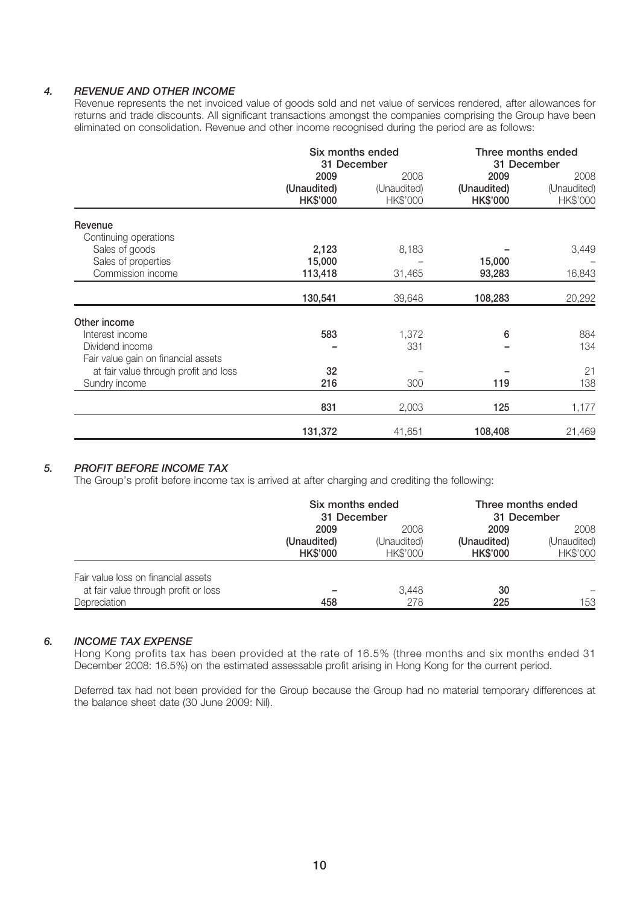### *4. REVENUE AND OTHER INCOME*

Revenue represents the net invoiced value of goods sold and net value of services rendered, after allowances for returns and trade discounts. All significant transactions amongst the companies comprising the Group have been eliminated on consolidation. Revenue and other income recognised during the period are as follows:

|                                       | Six months ended<br>31 December        |                                 | Three months ended<br>31 December      |                                 |
|---------------------------------------|----------------------------------------|---------------------------------|----------------------------------------|---------------------------------|
|                                       | 2009<br>(Unaudited)<br><b>HK\$'000</b> | 2008<br>(Unaudited)<br>HK\$'000 | 2009<br>(Unaudited)<br><b>HK\$'000</b> | 2008<br>(Unaudited)<br>HK\$'000 |
| Revenue<br>Continuing operations      |                                        |                                 |                                        |                                 |
| Sales of goods<br>Sales of properties | 2,123<br>15,000                        | 8,183                           | 15,000                                 | 3,449                           |
| Commission income                     | 113,418                                | 31,465                          | 93,283                                 | 16,843                          |
|                                       | 130,541                                | 39,648                          | 108,283                                | 20,292                          |
| Other income                          |                                        |                                 |                                        |                                 |
| Interest income                       | 583                                    | 1,372                           | 6                                      | 884                             |
| Dividend income                       |                                        | 331                             |                                        | 134                             |
| Fair value gain on financial assets   |                                        |                                 |                                        |                                 |
| at fair value through profit and loss | 32                                     |                                 |                                        | 21                              |
| Sundry income                         | 216                                    | 300                             | 119                                    | 138                             |
|                                       | 831                                    | 2,003                           | 125                                    | 1,177                           |
|                                       | 131,372                                | 41,651                          | 108,408                                | 21,469                          |

### *5. PROFIT BEFORE INCOME TAX*

The Group's profit before income tax is arrived at after charging and crediting the following:

|                                      | Six months ended<br>31 December |                         | Three months ended<br>31 December |                         |
|--------------------------------------|---------------------------------|-------------------------|-----------------------------------|-------------------------|
|                                      | 2009                            | 2008                    | 2009                              | 2008                    |
|                                      | (Unaudited)<br><b>HK\$'000</b>  | (Unaudited)<br>HK\$'000 | (Unaudited)<br><b>HK\$'000</b>    | (Unaudited)<br>HK\$'000 |
| Fair value loss on financial assets  |                                 |                         |                                   |                         |
| at fair value through profit or loss |                                 | 3,448                   | 30                                |                         |
| Depreciation                         | 458                             | 278                     | 225                               | 153                     |

#### *6. INCOME TAX EXPENSE*

Hong Kong profits tax has been provided at the rate of 16.5% (three months and six months ended 31 December 2008: 16.5%) on the estimated assessable profit arising in Hong Kong for the current period.

Deferred tax had not been provided for the Group because the Group had no material temporary differences at the balance sheet date (30 June 2009: Nil).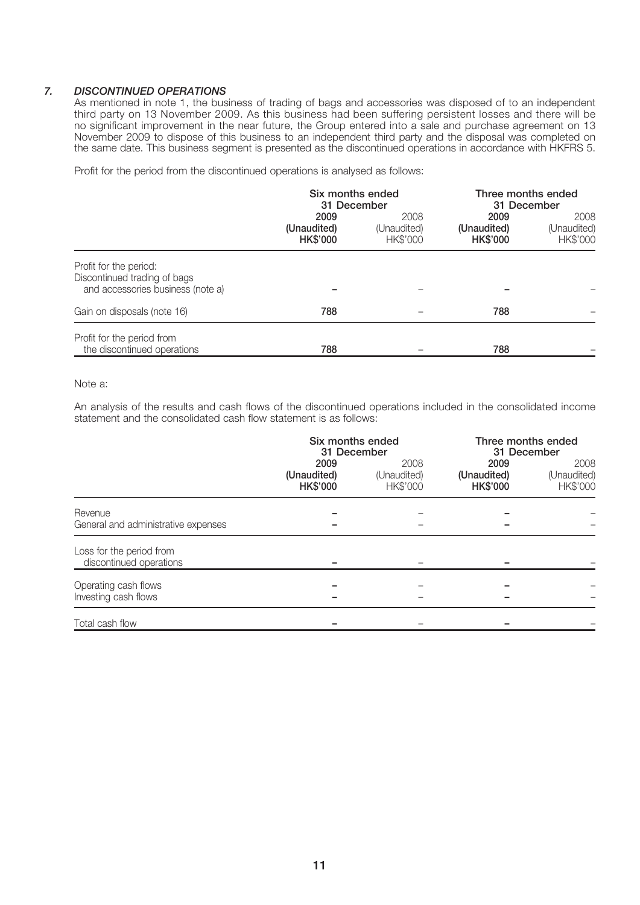### *7. DISCONTINUED OPERATIONS*

As mentioned in note 1, the business of trading of bags and accessories was disposed of to an independent third party on 13 November 2009. As this business had been suffering persistent losses and there will be no significant improvement in the near future, the Group entered into a sale and purchase agreement on 13 November 2009 to dispose of this business to an independent third party and the disposal was completed on the same date. This business segment is presented as the discontinued operations in accordance with HKFRS 5.

Profit for the period from the discontinued operations is analysed as follows:

|                                                                                             | Six months ended<br>31 December        |                                 | Three months ended<br>31 December      |                                 |
|---------------------------------------------------------------------------------------------|----------------------------------------|---------------------------------|----------------------------------------|---------------------------------|
|                                                                                             | 2009<br>(Unaudited)<br><b>HK\$'000</b> | 2008<br>(Unaudited)<br>HK\$'000 | 2009<br>(Unaudited)<br><b>HK\$'000</b> | 2008<br>(Unaudited)<br>HK\$'000 |
| Profit for the period:<br>Discontinued trading of bags<br>and accessories business (note a) |                                        |                                 |                                        |                                 |
| Gain on disposals (note 16)                                                                 | 788                                    |                                 | 788                                    |                                 |
| Profit for the period from<br>the discontinued operations                                   | 788                                    |                                 | 788                                    |                                 |

### Note a:

An analysis of the results and cash flows of the discontinued operations included in the consolidated income statement and the consolidated cash flow statement is as follows:

|                                                     | Six months ended<br>31 December        |                                 | Three months ended<br>31 December      |                                 |
|-----------------------------------------------------|----------------------------------------|---------------------------------|----------------------------------------|---------------------------------|
|                                                     | 2009<br>(Unaudited)<br><b>HK\$'000</b> | 2008<br>(Unaudited)<br>HK\$'000 | 2009<br>(Unaudited)<br><b>HK\$'000</b> | 2008<br>(Unaudited)<br>HK\$'000 |
| Revenue<br>General and administrative expenses      |                                        |                                 |                                        |                                 |
| Loss for the period from<br>discontinued operations |                                        |                                 |                                        |                                 |
| Operating cash flows<br>Investing cash flows        |                                        |                                 |                                        |                                 |
| Total cash flow                                     |                                        |                                 |                                        |                                 |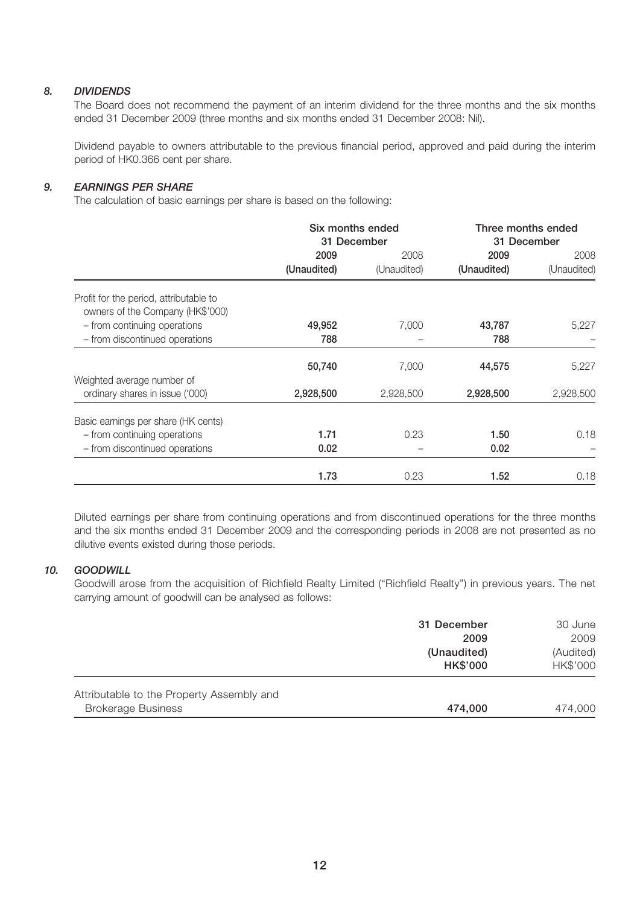### *8. DIVIDENDS*

The Board does not recommend the payment of an interim dividend for the three months and the six months ended 31 December 2009 (three months and six months ended 31 December 2008: Nil).

Dividend payable to owners attributable to the previous financial period, approved and paid during the interim period of HK0.366 cent per share.

### *9. EARNINGS PER SHARE*

The calculation of basic earnings per share is based on the following:

|                                                                            | Six months ended<br>31 December |             | Three months ended<br>31 December |             |
|----------------------------------------------------------------------------|---------------------------------|-------------|-----------------------------------|-------------|
|                                                                            | 2009                            | 2008        | 2009                              | 2008        |
|                                                                            | (Unaudited)                     | (Unaudited) | (Unaudited)                       | (Unaudited) |
| Profit for the period, attributable to<br>owners of the Company (HK\$'000) |                                 |             |                                   |             |
| - from continuing operations                                               | 49,952                          | 7,000       | 43,787                            | 5,227       |
| - from discontinued operations                                             | 788                             |             | 788                               |             |
|                                                                            | 50,740                          | 7,000       | 44,575                            | 5,227       |
| Weighted average number of<br>ordinary shares in issue ('000)              | 2,928,500                       | 2,928,500   | 2,928,500                         | 2,928,500   |
| Basic earnings per share (HK cents)                                        |                                 |             |                                   |             |
| - from continuing operations                                               | 1.71                            | 0.23        | 1.50                              | 0.18        |
| - from discontinued operations                                             | 0.02                            |             | 0.02                              |             |
|                                                                            | 1.73                            | 0.23        | 1.52                              | 0.18        |

Diluted earnings per share from continuing operations and from discontinued operations for the three months and the six months ended 31 December 2009 and the corresponding periods in 2008 are not presented as no dilutive events existed during those periods.

### *10. GOODWILL*

Goodwill arose from the acquisition of Richfield Realty Limited ("Richfield Realty") in previous years. The net carrying amount of goodwill can be analysed as follows:

|                                                                        | 31 December<br>2009            | 30 June<br>2009       |
|------------------------------------------------------------------------|--------------------------------|-----------------------|
|                                                                        | (Unaudited)<br><b>HK\$'000</b> | (Audited)<br>HK\$'000 |
| Attributable to the Property Assembly and<br><b>Brokerage Business</b> | 474,000                        | 474,000               |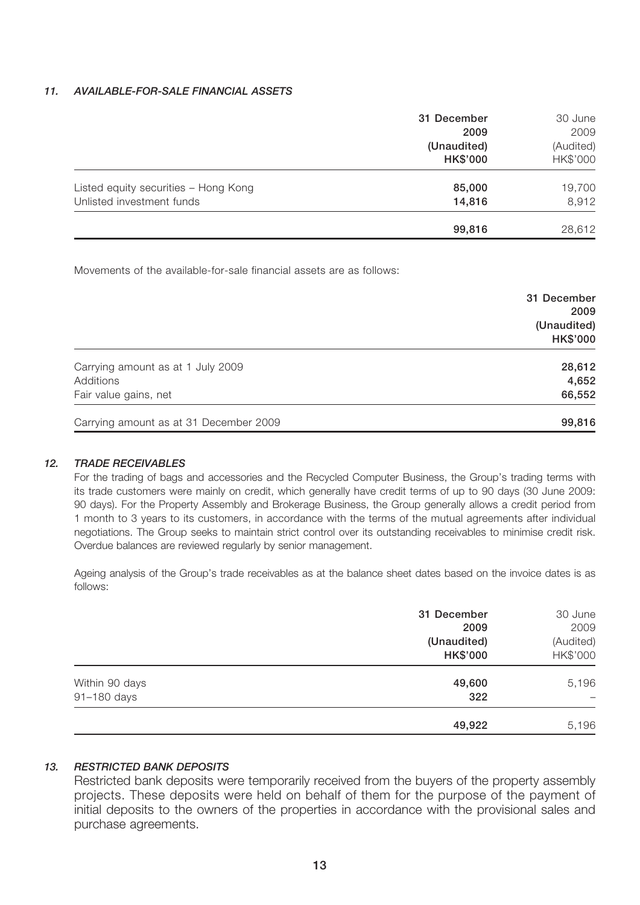### *11. AVAILABLE-FOR-SALE FINANCIAL ASSETS*

|                                                                   | 31 December<br>2009<br>(Unaudited)<br><b>HK\$'000</b> | 30 June<br>2009<br>(Audited)<br>HK\$'000 |
|-------------------------------------------------------------------|-------------------------------------------------------|------------------------------------------|
| Listed equity securities - Hong Kong<br>Unlisted investment funds | 85,000<br>14,816                                      | 19,700<br>8,912                          |
|                                                                   | 99,816                                                | 28,612                                   |

Movements of the available-for-sale financial assets are as follows:

|                                        | 31 December<br>2009            |
|----------------------------------------|--------------------------------|
|                                        | (Unaudited)<br><b>HK\$'000</b> |
| Carrying amount as at 1 July 2009      | 28,612                         |
| Additions                              | 4,652                          |
| Fair value gains, net                  | 66,552                         |
| Carrying amount as at 31 December 2009 | 99,816                         |

### *12. TRADE RECEIVABLES*

For the trading of bags and accessories and the Recycled Computer Business, the Group's trading terms with its trade customers were mainly on credit, which generally have credit terms of up to 90 days (30 June 2009: 90 days). For the Property Assembly and Brokerage Business, the Group generally allows a credit period from 1 month to 3 years to its customers, in accordance with the terms of the mutual agreements after individual negotiations. The Group seeks to maintain strict control over its outstanding receivables to minimise credit risk. Overdue balances are reviewed regularly by senior management.

Ageing analysis of the Group's trade receivables as at the balance sheet dates based on the invoice dates is as follows:

|                               | 31 December<br>2009            | 30 June<br>2009       |
|-------------------------------|--------------------------------|-----------------------|
|                               | (Unaudited)<br><b>HK\$'000</b> | (Audited)<br>HK\$'000 |
| Within 90 days<br>91-180 days | 49,600<br>322                  | 5,196                 |
|                               | 49,922                         | 5,196                 |

### *13. RESTRICTED BANK DEPOSITS*

Restricted bank deposits were temporarily received from the buyers of the property assembly projects. These deposits were held on behalf of them for the purpose of the payment of initial deposits to the owners of the properties in accordance with the provisional sales and purchase agreements.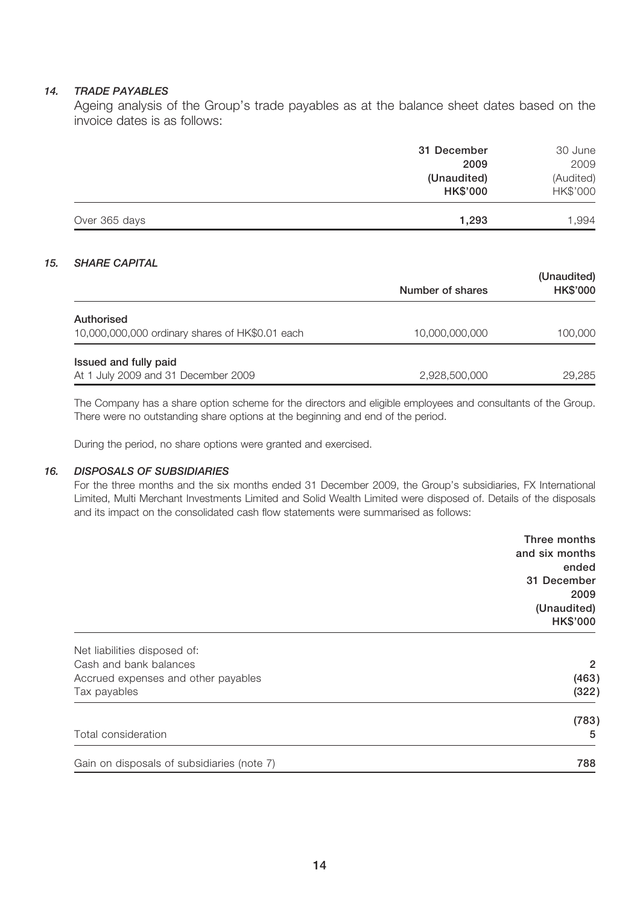### *14. TRADE PAYABLES*

Ageing analysis of the Group's trade payables as at the balance sheet dates based on the invoice dates is as follows:

|               | (Unaudited)<br><b>HK\$'000</b> | (Audited)<br>HK\$'000 |
|---------------|--------------------------------|-----------------------|
| Over 365 days | 1,293                          | 1,994                 |

### *15. SHARE CAPITAL*

|                                                               | Number of shares | (Unaudited)<br><b>HK\$'000</b> |
|---------------------------------------------------------------|------------------|--------------------------------|
| Authorised<br>10,000,000,000 ordinary shares of HK\$0.01 each | 10.000.000.000   | 100,000                        |
| Issued and fully paid<br>At 1 July 2009 and 31 December 2009  | 2,928,500,000    | 29.285                         |

The Company has a share option scheme for the directors and eligible employees and consultants of the Group. There were no outstanding share options at the beginning and end of the period.

During the period, no share options were granted and exercised.

#### *16. DISPOSALS OF SUBSIDIARIES*

For the three months and the six months ended 31 December 2009, the Group's subsidiaries, FX International Limited, Multi Merchant Investments Limited and Solid Wealth Limited were disposed of. Details of the disposals and its impact on the consolidated cash flow statements were summarised as follows:

|                                            | Three months    |
|--------------------------------------------|-----------------|
|                                            | and six months  |
|                                            | ended           |
|                                            | 31 December     |
|                                            | 2009            |
|                                            | (Unaudited)     |
|                                            | <b>HK\$'000</b> |
| Net liabilities disposed of:               |                 |
| Cash and bank balances                     | $\overline{2}$  |
| Accrued expenses and other payables        | (463)           |
| Tax payables                               | (322)           |
|                                            | (783)           |
| Total consideration                        | 5               |
| Gain on disposals of subsidiaries (note 7) | 788             |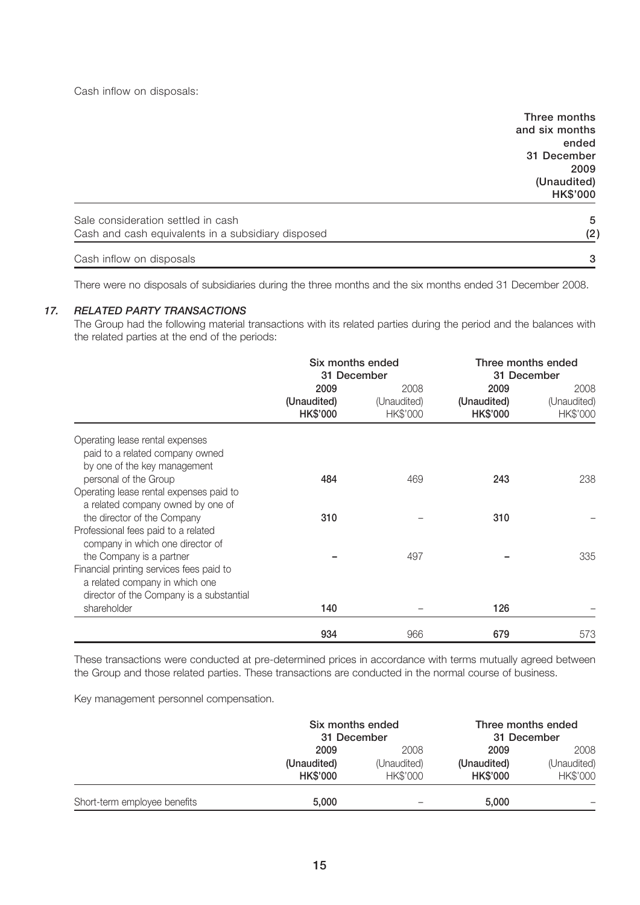Cash inflow on disposals:

|                                                    | Three months    |
|----------------------------------------------------|-----------------|
|                                                    | and six months  |
|                                                    | ended           |
|                                                    | 31 December     |
|                                                    | 2009            |
|                                                    | (Unaudited)     |
|                                                    | <b>HK\$'000</b> |
| Sale consideration settled in cash                 | 5               |
| Cash and cash equivalents in a subsidiary disposed | (2)             |
| Cash inflow on disposals                           | 3               |

There were no disposals of subsidiaries during the three months and the six months ended 31 December 2008.

### *17. RELATED PARTY TRANSACTIONS*

The Group had the following material transactions with its related parties during the period and the balances with the related parties at the end of the periods:

|                                                                                                                                                    | Six months ended<br>31 December        |                                 | Three months ended<br>31 December      |                                 |
|----------------------------------------------------------------------------------------------------------------------------------------------------|----------------------------------------|---------------------------------|----------------------------------------|---------------------------------|
|                                                                                                                                                    | 2009<br>(Unaudited)<br><b>HK\$'000</b> | 2008<br>(Unaudited)<br>HK\$'000 | 2009<br>(Unaudited)<br><b>HK\$'000</b> | 2008<br>(Unaudited)<br>HK\$'000 |
| Operating lease rental expenses<br>paid to a related company owned<br>by one of the key management                                                 |                                        |                                 |                                        |                                 |
| personal of the Group<br>Operating lease rental expenses paid to<br>a related company owned by one of                                              | 484                                    | 469                             | 243                                    | 238                             |
| the director of the Company<br>Professional fees paid to a related<br>company in which one director of                                             | 310                                    |                                 | 310                                    |                                 |
| the Company is a partner<br>Financial printing services fees paid to<br>a related company in which one<br>director of the Company is a substantial |                                        | 497                             |                                        | 335                             |
| shareholder                                                                                                                                        | 140                                    |                                 | 126                                    |                                 |
|                                                                                                                                                    | 934                                    | 966                             | 679                                    | 573                             |

These transactions were conducted at pre-determined prices in accordance with terms mutually agreed between the Group and those related parties. These transactions are conducted in the normal course of business.

Key management personnel compensation.

|                              | Six months ended<br>31 December |                         | Three months ended<br>31 December |                         |
|------------------------------|---------------------------------|-------------------------|-----------------------------------|-------------------------|
|                              | 2008<br>2009                    |                         | 2009                              | 2008                    |
|                              | (Unaudited)<br><b>HK\$'000</b>  | (Unaudited)<br>HK\$'000 | (Unaudited)<br><b>HK\$'000</b>    | (Unaudited)<br>HK\$'000 |
| Short-term employee benefits | 5.000                           |                         | 5.000                             |                         |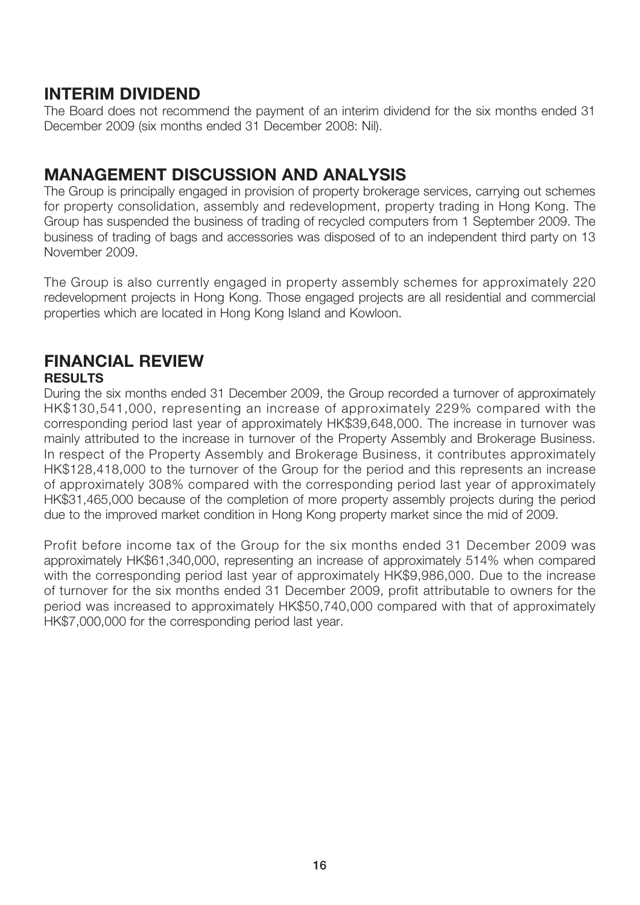## **INTERIM DIVIDEND**

The Board does not recommend the payment of an interim dividend for the six months ended 31 December 2009 (six months ended 31 December 2008: Nil).

## **MANAGEMENT DISCUSSION AND ANALYSIS**

The Group is principally engaged in provision of property brokerage services, carrying out schemes for property consolidation, assembly and redevelopment, property trading in Hong Kong. The Group has suspended the business of trading of recycled computers from 1 September 2009. The business of trading of bags and accessories was disposed of to an independent third party on 13 November 2009.

The Group is also currently engaged in property assembly schemes for approximately 220 redevelopment projects in Hong Kong. Those engaged projects are all residential and commercial properties which are located in Hong Kong Island and Kowloon.

## **FINANCIAL REVIEW RESULTS**

During the six months ended 31 December 2009, the Group recorded a turnover of approximately HK\$130,541,000, representing an increase of approximately 229% compared with the corresponding period last year of approximately HK\$39,648,000. The increase in turnover was mainly attributed to the increase in turnover of the Property Assembly and Brokerage Business. In respect of the Property Assembly and Brokerage Business, it contributes approximately HK\$128,418,000 to the turnover of the Group for the period and this represents an increase of approximately 308% compared with the corresponding period last year of approximately HK\$31,465,000 because of the completion of more property assembly projects during the period due to the improved market condition in Hong Kong property market since the mid of 2009.

Profit before income tax of the Group for the six months ended 31 December 2009 was approximately HK\$61,340,000, representing an increase of approximately 514% when compared with the corresponding period last year of approximately HK\$9,986,000. Due to the increase of turnover for the six months ended 31 December 2009, profit attributable to owners for the period was increased to approximately HK\$50,740,000 compared with that of approximately HK\$7,000,000 for the corresponding period last year.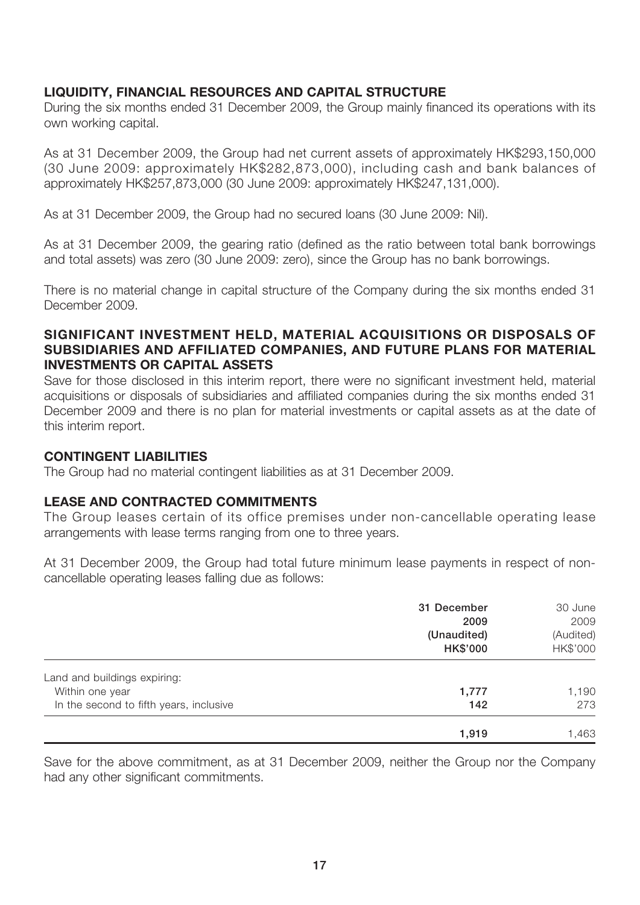## **LIQUIDITY, FINANCIAL RESOURCES AND CAPITAL STRUCTURE**

During the six months ended 31 December 2009, the Group mainly financed its operations with its own working capital.

As at 31 December 2009, the Group had net current assets of approximately HK\$293,150,000 (30 June 2009: approximately HK\$282,873,000), including cash and bank balances of approximately HK\$257,873,000 (30 June 2009: approximately HK\$247,131,000).

As at 31 December 2009, the Group had no secured loans (30 June 2009: Nil).

As at 31 December 2009, the gearing ratio (defined as the ratio between total bank borrowings and total assets) was zero (30 June 2009: zero), since the Group has no bank borrowings.

There is no material change in capital structure of the Company during the six months ended 31 December 2009.

## **SIGNIFICANT INVESTMENT HELD, MATERIAL ACQUISITIONS OR DISPOSALS OF SUBSIDIARIES AND AFFILIATED COMPANIES, AND FUTURE PLANS FOR MATERIAL INVESTMENTS OR CAPITAL ASSETS**

Save for those disclosed in this interim report, there were no significant investment held, material acquisitions or disposals of subsidiaries and affiliated companies during the six months ended 31 December 2009 and there is no plan for material investments or capital assets as at the date of this interim report.

## **CONTINGENT LIABILITIES**

The Group had no material contingent liabilities as at 31 December 2009.

## **LEASE AND CONTRACTED COMMITMENTS**

The Group leases certain of its office premises under non-cancellable operating lease arrangements with lease terms ranging from one to three years.

At 31 December 2009, the Group had total future minimum lease payments in respect of noncancellable operating leases falling due as follows:

|                                         | 31 December     | 30 June   |  |
|-----------------------------------------|-----------------|-----------|--|
|                                         | 2009            | 2009      |  |
|                                         | (Unaudited)     | (Audited) |  |
|                                         | <b>HK\$'000</b> | HK\$'000  |  |
| Land and buildings expiring:            |                 |           |  |
| Within one year                         | 1,777           | 1,190     |  |
| In the second to fifth years, inclusive | 142             | 273       |  |
|                                         | 1,919           | 1,463     |  |

Save for the above commitment, as at 31 December 2009, neither the Group nor the Company had any other significant commitments.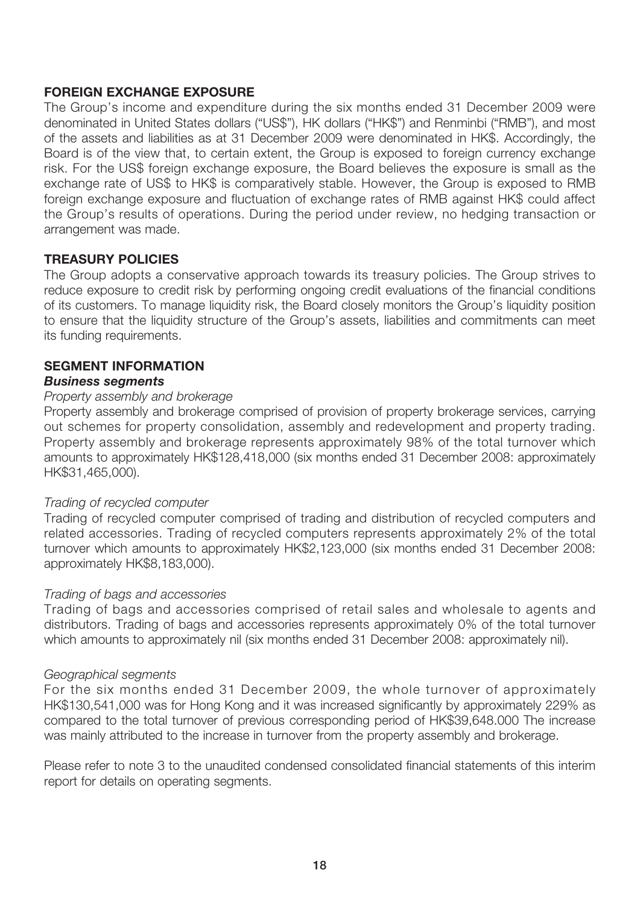## **FOREIGN EXCHANGE EXPOSURE**

The Group's income and expenditure during the six months ended 31 December 2009 were denominated in United States dollars ("US\$"), HK dollars ("HK\$") and Renminbi ("RMB"), and most of the assets and liabilities as at 31 December 2009 were denominated in HK\$. Accordingly, the Board is of the view that, to certain extent, the Group is exposed to foreign currency exchange risk. For the US\$ foreign exchange exposure, the Board believes the exposure is small as the exchange rate of US\$ to HK\$ is comparatively stable. However, the Group is exposed to RMB foreign exchange exposure and fluctuation of exchange rates of RMB against HK\$ could affect the Group's results of operations. During the period under review, no hedging transaction or arrangement was made.

## **TREASURY POLICIES**

The Group adopts a conservative approach towards its treasury policies. The Group strives to reduce exposure to credit risk by performing ongoing credit evaluations of the financial conditions of its customers. To manage liquidity risk, the Board closely monitors the Group's liquidity position to ensure that the liquidity structure of the Group's assets, liabilities and commitments can meet its funding requirements.

# **SEGMENT INFORMATION**

## *Business segments*

### Property assembly and brokerage

Property assembly and brokerage comprised of provision of property brokerage services, carrying out schemes for property consolidation, assembly and redevelopment and property trading. Property assembly and brokerage represents approximately 98% of the total turnover which amounts to approximately HK\$128,418,000 (six months ended 31 December 2008: approximately HK\$31,465,000).

## Trading of recycled computer

Trading of recycled computer comprised of trading and distribution of recycled computers and related accessories. Trading of recycled computers represents approximately 2% of the total turnover which amounts to approximately HK\$2,123,000 (six months ended 31 December 2008: approximately HK\$8,183,000).

## Trading of bags and accessories

Trading of bags and accessories comprised of retail sales and wholesale to agents and distributors. Trading of bags and accessories represents approximately 0% of the total turnover which amounts to approximately nil (six months ended 31 December 2008: approximately nil).

### Geographical segments

For the six months ended 31 December 2009, the whole turnover of approximately HK\$130,541,000 was for Hong Kong and it was increased significantly by approximately 229% as compared to the total turnover of previous corresponding period of HK\$39,648.000 The increase was mainly attributed to the increase in turnover from the property assembly and brokerage.

Please refer to note 3 to the unaudited condensed consolidated financial statements of this interim report for details on operating segments.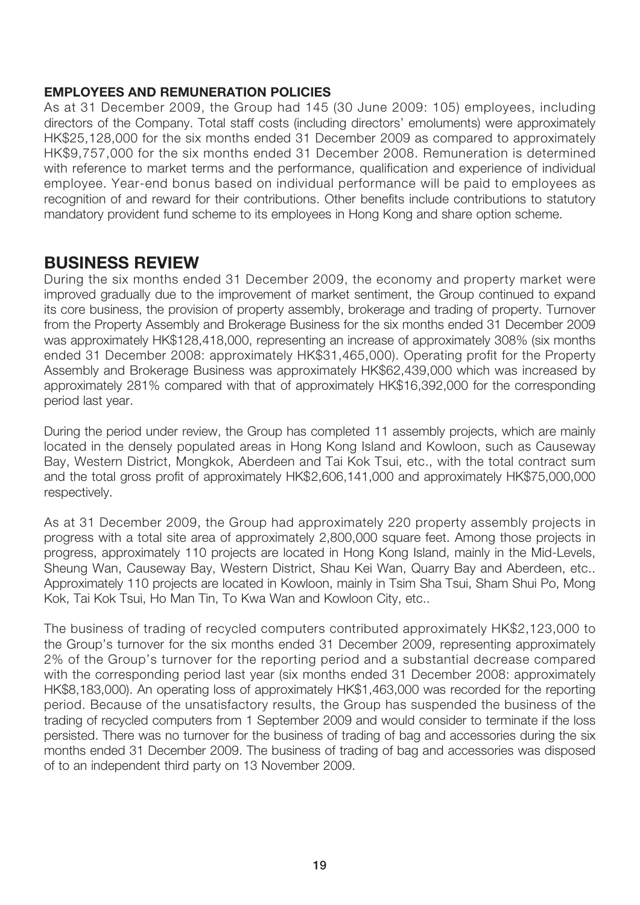## **EMPLOYEES AND REMUNERATION POLICIES**

As at 31 December 2009, the Group had 145 (30 June 2009: 105) employees, including directors of the Company. Total staff costs (including directors' emoluments) were approximately HK\$25,128,000 for the six months ended 31 December 2009 as compared to approximately HK\$9,757,000 for the six months ended 31 December 2008. Remuneration is determined with reference to market terms and the performance, qualification and experience of individual employee. Year-end bonus based on individual performance will be paid to employees as recognition of and reward for their contributions. Other benefits include contributions to statutory mandatory provident fund scheme to its employees in Hong Kong and share option scheme.

## **BUSINESS REVIEW**

During the six months ended 31 December 2009, the economy and property market were improved gradually due to the improvement of market sentiment, the Group continued to expand its core business, the provision of property assembly, brokerage and trading of property. Turnover from the Property Assembly and Brokerage Business for the six months ended 31 December 2009 was approximately HK\$128,418,000, representing an increase of approximately 308% (six months ended 31 December 2008: approximately HK\$31,465,000). Operating profit for the Property Assembly and Brokerage Business was approximately HK\$62,439,000 which was increased by approximately 281% compared with that of approximately HK\$16,392,000 for the corresponding period last year.

During the period under review, the Group has completed 11 assembly projects, which are mainly located in the densely populated areas in Hong Kong Island and Kowloon, such as Causeway Bay, Western District, Mongkok, Aberdeen and Tai Kok Tsui, etc., with the total contract sum and the total gross profit of approximately HK\$2,606,141,000 and approximately HK\$75,000,000 respectively.

As at 31 December 2009, the Group had approximately 220 property assembly projects in progress with a total site area of approximately 2,800,000 square feet. Among those projects in progress, approximately 110 projects are located in Hong Kong Island, mainly in the Mid-Levels, Sheung Wan, Causeway Bay, Western District, Shau Kei Wan, Quarry Bay and Aberdeen, etc.. Approximately 110 projects are located in Kowloon, mainly in Tsim Sha Tsui, Sham Shui Po, Mong Kok, Tai Kok Tsui, Ho Man Tin, To Kwa Wan and Kowloon City, etc..

The business of trading of recycled computers contributed approximately HK\$2,123,000 to the Group's turnover for the six months ended 31 December 2009, representing approximately 2% of the Group's turnover for the reporting period and a substantial decrease compared with the corresponding period last year (six months ended 31 December 2008: approximately HK\$8,183,000). An operating loss of approximately HK\$1,463,000 was recorded for the reporting period. Because of the unsatisfactory results, the Group has suspended the business of the trading of recycled computers from 1 September 2009 and would consider to terminate if the loss persisted. There was no turnover for the business of trading of bag and accessories during the six months ended 31 December 2009. The business of trading of bag and accessories was disposed of to an independent third party on 13 November 2009.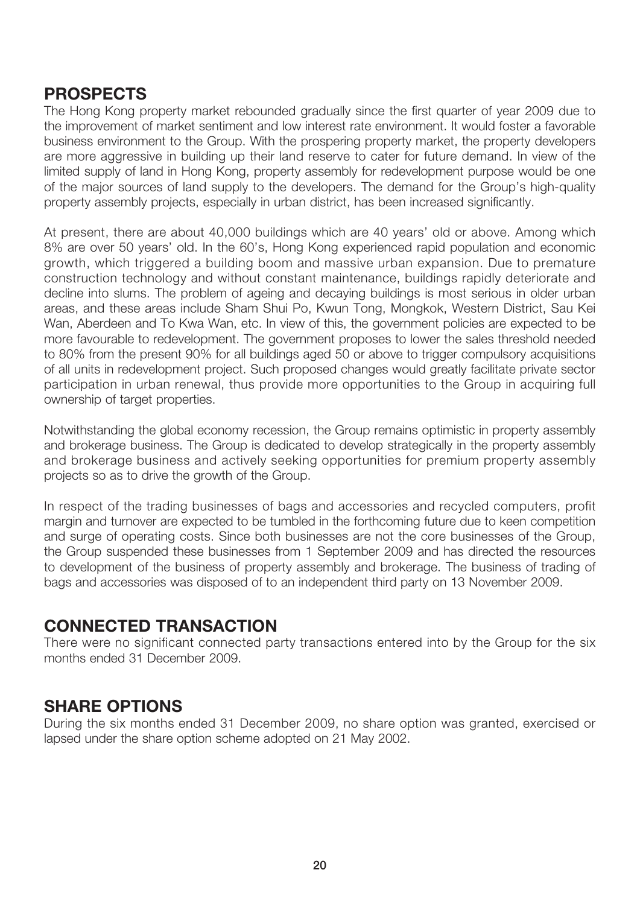## **PROSPECTS**

The Hong Kong property market rebounded gradually since the first quarter of year 2009 due to the improvement of market sentiment and low interest rate environment. It would foster a favorable business environment to the Group. With the prospering property market, the property developers are more aggressive in building up their land reserve to cater for future demand. In view of the limited supply of land in Hong Kong, property assembly for redevelopment purpose would be one of the major sources of land supply to the developers. The demand for the Group's high-quality property assembly projects, especially in urban district, has been increased significantly.

At present, there are about 40,000 buildings which are 40 years' old or above. Among which 8% are over 50 years' old. In the 60's, Hong Kong experienced rapid population and economic growth, which triggered a building boom and massive urban expansion. Due to premature construction technology and without constant maintenance, buildings rapidly deteriorate and decline into slums. The problem of ageing and decaying buildings is most serious in older urban areas, and these areas include Sham Shui Po, Kwun Tong, Mongkok, Western District, Sau Kei Wan, Aberdeen and To Kwa Wan, etc. In view of this, the government policies are expected to be more favourable to redevelopment. The government proposes to lower the sales threshold needed to 80% from the present 90% for all buildings aged 50 or above to trigger compulsory acquisitions of all units in redevelopment project. Such proposed changes would greatly facilitate private sector participation in urban renewal, thus provide more opportunities to the Group in acquiring full ownership of target properties.

Notwithstanding the global economy recession, the Group remains optimistic in property assembly and brokerage business. The Group is dedicated to develop strategically in the property assembly and brokerage business and actively seeking opportunities for premium property assembly projects so as to drive the growth of the Group.

In respect of the trading businesses of bags and accessories and recycled computers, profit margin and turnover are expected to be tumbled in the forthcoming future due to keen competition and surge of operating costs. Since both businesses are not the core businesses of the Group, the Group suspended these businesses from 1 September 2009 and has directed the resources to development of the business of property assembly and brokerage. The business of trading of bags and accessories was disposed of to an independent third party on 13 November 2009.

## **CONNECTED TRANSACTION**

There were no significant connected party transactions entered into by the Group for the six months ended 31 December 2009.

## **SHARE OPTIONS**

During the six months ended 31 December 2009, no share option was granted, exercised or lapsed under the share option scheme adopted on 21 May 2002.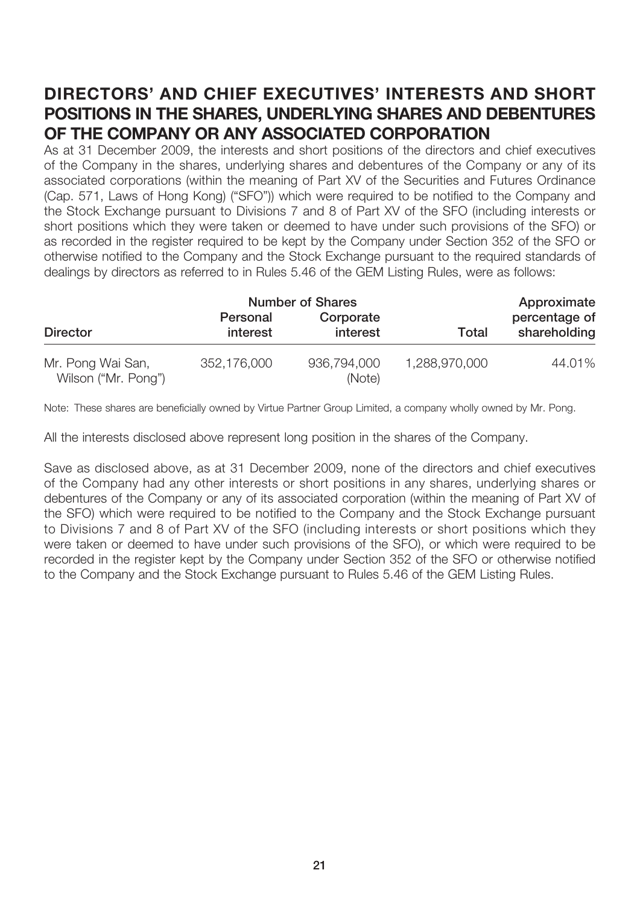# **DIRECTORS' AND CHIEF EXECUTIVES' INTERESTS AND SHORT POSITIONS IN THE SHARES, UNDERLYING SHARES AND DEBENTURES OF THE COMPANY OR ANY ASSOCIATED CORPORATION**

As at 31 December 2009, the interests and short positions of the directors and chief executives of the Company in the shares, underlying shares and debentures of the Company or any of its associated corporations (within the meaning of Part XV of the Securities and Futures Ordinance (Cap. 571, Laws of Hong Kong) ("SFO")) which were required to be notified to the Company and the Stock Exchange pursuant to Divisions 7 and 8 of Part XV of the SFO (including interests or short positions which they were taken or deemed to have under such provisions of the SFO) or as recorded in the register required to be kept by the Company under Section 352 of the SFO or otherwise notified to the Company and the Stock Exchange pursuant to the required standards of dealings by directors as referred to in Rules 5.46 of the GEM Listing Rules, were as follows:

|                                          |                      | <b>Number of Shares</b> |               |                               |
|------------------------------------------|----------------------|-------------------------|---------------|-------------------------------|
| <b>Director</b>                          | Personal<br>interest | Corporate<br>interest   | Total         | percentage of<br>shareholding |
| Mr. Pong Wai San,<br>Wilson ("Mr. Pong") | 352,176,000          | 936,794,000<br>(Note)   | 1,288,970,000 | 44.01%                        |

Note: These shares are beneficially owned by Virtue Partner Group Limited, a company wholly owned by Mr. Pong.

All the interests disclosed above represent long position in the shares of the Company.

Save as disclosed above, as at 31 December 2009, none of the directors and chief executives of the Company had any other interests or short positions in any shares, underlying shares or debentures of the Company or any of its associated corporation (within the meaning of Part XV of the SFO) which were required to be notified to the Company and the Stock Exchange pursuant to Divisions 7 and 8 of Part XV of the SFO (including interests or short positions which they were taken or deemed to have under such provisions of the SFO), or which were required to be recorded in the register kept by the Company under Section 352 of the SFO or otherwise notified to the Company and the Stock Exchange pursuant to Rules 5.46 of the GEM Listing Rules.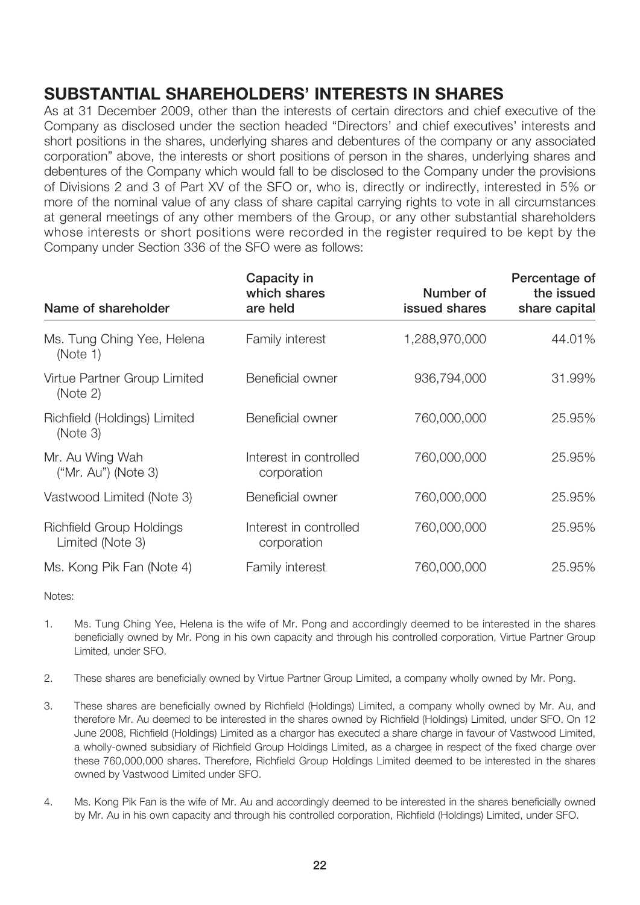# **SUBSTANTIAL SHAREHOLDERS' INTERESTS IN SHARES**

As at 31 December 2009, other than the interests of certain directors and chief executive of the Company as disclosed under the section headed "Directors' and chief executives' interests and short positions in the shares, underlying shares and debentures of the company or any associated corporation" above, the interests or short positions of person in the shares, underlying shares and debentures of the Company which would fall to be disclosed to the Company under the provisions of Divisions 2 and 3 of Part XV of the SFO or, who is, directly or indirectly, interested in 5% or more of the nominal value of any class of share capital carrying rights to vote in all circumstances at general meetings of any other members of the Group, or any other substantial shareholders whose interests or short positions were recorded in the register required to be kept by the Company under Section 336 of the SFO were as follows:

| Name of shareholder                                 | Capacity in<br>which shares<br>are held | Number of<br>issued shares | Percentage of<br>the issued<br>share capital |
|-----------------------------------------------------|-----------------------------------------|----------------------------|----------------------------------------------|
| Ms. Tung Ching Yee, Helena<br>(Note 1)              | Family interest                         | 1,288,970,000              | 44.01%                                       |
| Virtue Partner Group Limited<br>(Note 2)            | Beneficial owner                        | 936,794,000                | 31.99%                                       |
| Richfield (Holdings) Limited<br>(Note 3)            | Beneficial owner                        | 760,000,000                | 25.95%                                       |
| Mr. Au Wing Wah<br>$("Mr. Au")$ (Note 3)            | Interest in controlled<br>corporation   | 760,000,000                | 25.95%                                       |
| Vastwood Limited (Note 3)                           | Beneficial owner                        | 760,000,000                | 25.95%                                       |
| <b>Richfield Group Holdings</b><br>Limited (Note 3) | Interest in controlled<br>corporation   | 760,000,000                | 25.95%                                       |
| Ms. Kong Pik Fan (Note 4)                           | Family interest                         | 760,000,000                | 25.95%                                       |

Notes:

- 1. Ms. Tung Ching Yee, Helena is the wife of Mr. Pong and accordingly deemed to be interested in the shares beneficially owned by Mr. Pong in his own capacity and through his controlled corporation, Virtue Partner Group Limited, under SFO.
- 2. These shares are beneficially owned by Virtue Partner Group Limited, a company wholly owned by Mr. Pong.
- 3. These shares are beneficially owned by Richfield (Holdings) Limited, a company wholly owned by Mr. Au, and therefore Mr. Au deemed to be interested in the shares owned by Richfield (Holdings) Limited, under SFO. On 12 June 2008, Richfield (Holdings) Limited as a chargor has executed a share charge in favour of Vastwood Limited, a wholly-owned subsidiary of Richfield Group Holdings Limited, as a chargee in respect of the fixed charge over these 760,000,000 shares. Therefore, Richfield Group Holdings Limited deemed to be interested in the shares owned by Vastwood Limited under SFO.
- 4. Ms. Kong Pik Fan is the wife of Mr. Au and accordingly deemed to be interested in the shares beneficially owned by Mr. Au in his own capacity and through his controlled corporation, Richfield (Holdings) Limited, under SFO.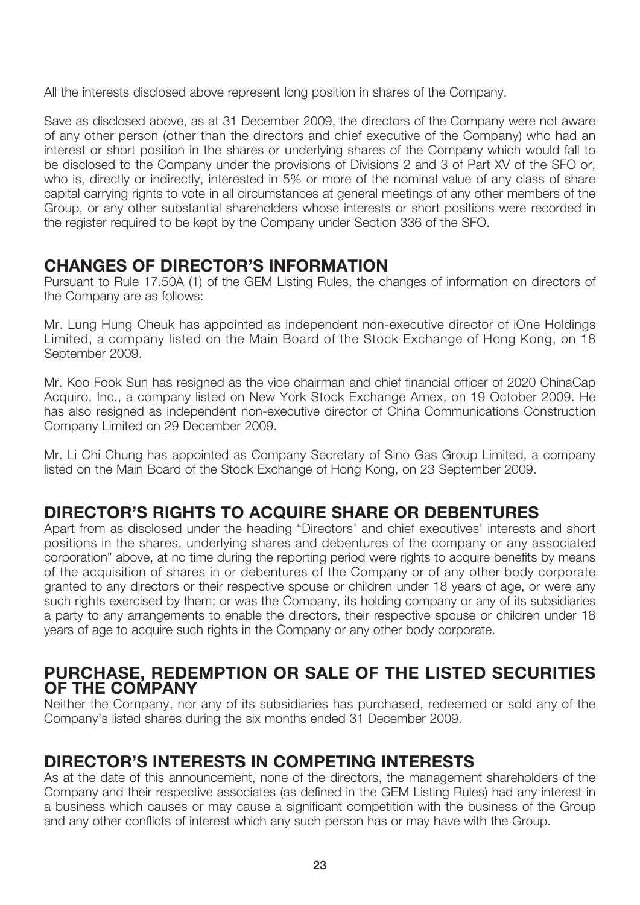All the interests disclosed above represent long position in shares of the Company.

Save as disclosed above, as at 31 December 2009, the directors of the Company were not aware of any other person (other than the directors and chief executive of the Company) who had an interest or short position in the shares or underlying shares of the Company which would fall to be disclosed to the Company under the provisions of Divisions 2 and 3 of Part XV of the SFO or, who is, directly or indirectly, interested in 5% or more of the nominal value of any class of share capital carrying rights to vote in all circumstances at general meetings of any other members of the Group, or any other substantial shareholders whose interests or short positions were recorded in the register required to be kept by the Company under Section 336 of the SFO.

## **CHANGES OF DIRECTOR'S INFORMATION**

Pursuant to Rule 17.50A (1) of the GEM Listing Rules, the changes of information on directors of the Company are as follows:

Mr. Lung Hung Cheuk has appointed as independent non-executive director of iOne Holdings Limited, a company listed on the Main Board of the Stock Exchange of Hong Kong, on 18 September 2009.

Mr. Koo Fook Sun has resigned as the vice chairman and chief financial officer of 2020 ChinaCap Acquiro, Inc., a company listed on New York Stock Exchange Amex, on 19 October 2009. He has also resigned as independent non-executive director of China Communications Construction Company Limited on 29 December 2009.

Mr. Li Chi Chung has appointed as Company Secretary of Sino Gas Group Limited, a company listed on the Main Board of the Stock Exchange of Hong Kong, on 23 September 2009.

## **DIRECTOR'S RIGHTS TO ACQUIRE SHARE OR DEBENTURES**

Apart from as disclosed under the heading "Directors' and chief executives' interests and short positions in the shares, underlying shares and debentures of the company or any associated corporation" above, at no time during the reporting period were rights to acquire benefits by means of the acquisition of shares in or debentures of the Company or of any other body corporate granted to any directors or their respective spouse or children under 18 years of age, or were any such rights exercised by them; or was the Company, its holding company or any of its subsidiaries a party to any arrangements to enable the directors, their respective spouse or children under 18 years of age to acquire such rights in the Company or any other body corporate.

## **PURCHASE, REDEMPTION OR SALE OF THE LISTED SECURITIES OF THE COMPANY**

Neither the Company, nor any of its subsidiaries has purchased, redeemed or sold any of the Company's listed shares during the six months ended 31 December 2009.

## **DIRECTOR'S INTERESTS IN COMPETING INTERESTS**

As at the date of this announcement, none of the directors, the management shareholders of the Company and their respective associates (as defined in the GEM Listing Rules) had any interest in a business which causes or may cause a significant competition with the business of the Group and any other conflicts of interest which any such person has or may have with the Group.